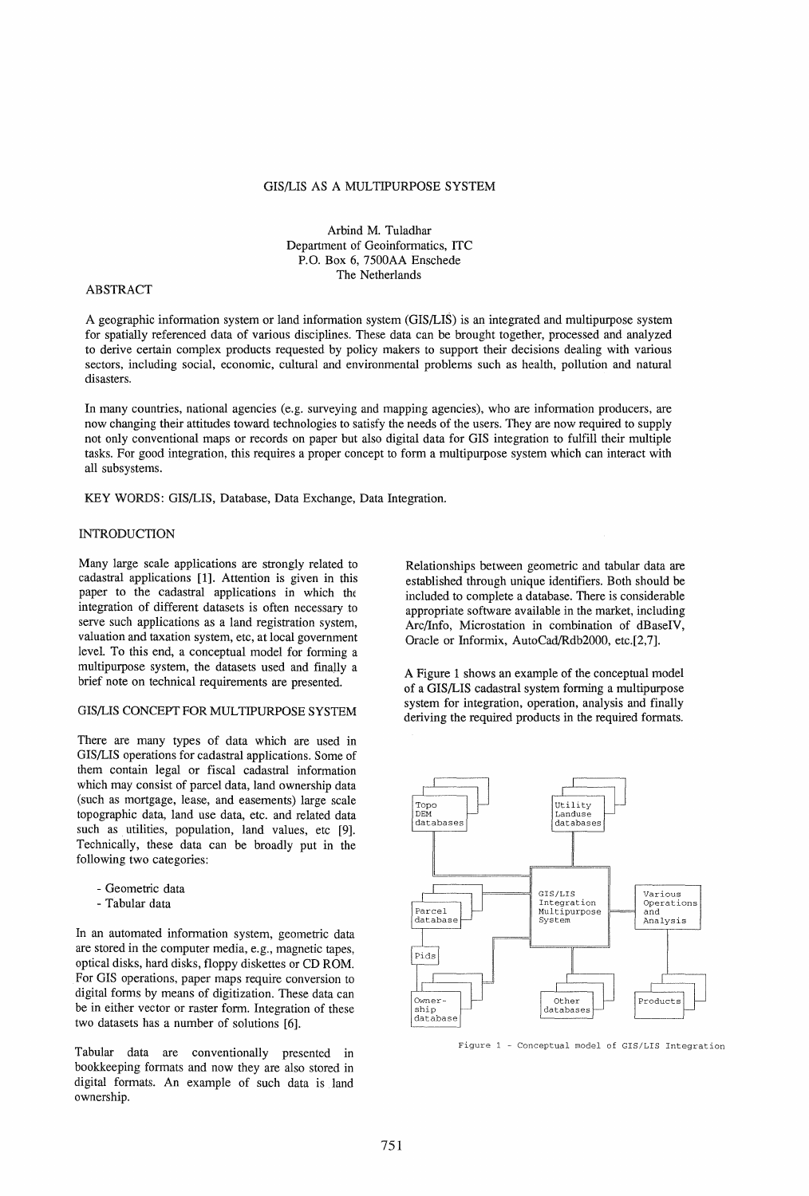### GIS/LIS AS A MULTIPURPOSE SYSTEM

Arbind M. Tuladhar Department of Geoinformatics, ITC P.o. Box 6, 7500AA Enschede The Netherlands

### ABSTRACT

A geographic information system or land information system (GIS/LIS) is an integrated and multipurpose system for spatially referenced data of various disciplines. These data can be brought together, processed and analyzed to derive certain complex products requested by policy makers to support their decisions dealing with various sectors, including social, economic, cultural and environmental problems such as health, pollution and natural disasters.

In many countries, national agencies (e.g. surveying and mapping agencies), who are information producers, are now changing their attitudes toward technologies to satisfy the needs of the users. They are now required to supply not only conventional maps or records on paper but also digital data for GIS integration to fulfill their multiple tasks. For good integration, this requires a proper concept to form a multipurpose system which can interact with all subsystems.

KEY WORDS: GIS/LIS, Database, Data Exchange, Data Integration.

### INTRODUCTION

Many large scale applications are strongly related to cadastral applications [1]. Attention is given in this paper to the cadastral applications in which the integration of different datasets is often necessary to serve such applications as a land registration system, valuation and taxation system, etc, at local government level. To this end, a conceptual model for forming a multipurpose system, the datasets used and finally a brief note on technical requirements are presented.

## GIS/LIS CONCEPT FOR MULTIPURPOSE SYSTEM

There are many types of data which are used in GIS/LIS operations for cadastral applications. Some of them contain legal or fiscal cadastral information which may consist of parcel data, land ownership data (such as mortgage, lease, and easements) large scale topographic data, land use data, etc. and related data such as utilities, population, land values, etc [9]. Technically, these data can be broadly put in the following two categories:

- Geometric data
- Tabular data

In an automated information system, geometric data are stored in the computer media, e.g., magnetic tapes, optical disks, hard disks, floppy diskettes or CD ROM. For GIS operations, paper maps require conversion to digital forms by means of digitization. These data can be in either vector or raster form. Integration of these two datasets has a number of solutions [6].

Tabular data are conventionally presented in bookkeeping formats and now they are also stored in digital formats. An example of such data is land ownership.

Relationships between geometric and tabular data are established through unique identifiers. Both should be included to complete a database. There is considerable appropriate software available in the market, including Arc/Info, Microstation in combination of dBaseIV, Oracle or Informix, AutoCad/Rdb2000, etc.[2,7].

A Figure 1 shows an example of the conceptual model of a GIS/LIS cadastral system forming a multipurpose system for integration, operation, analysis and finally deriving the required products in the required formats.



Figure 1 - Conceptual model of GIS/LIS Integration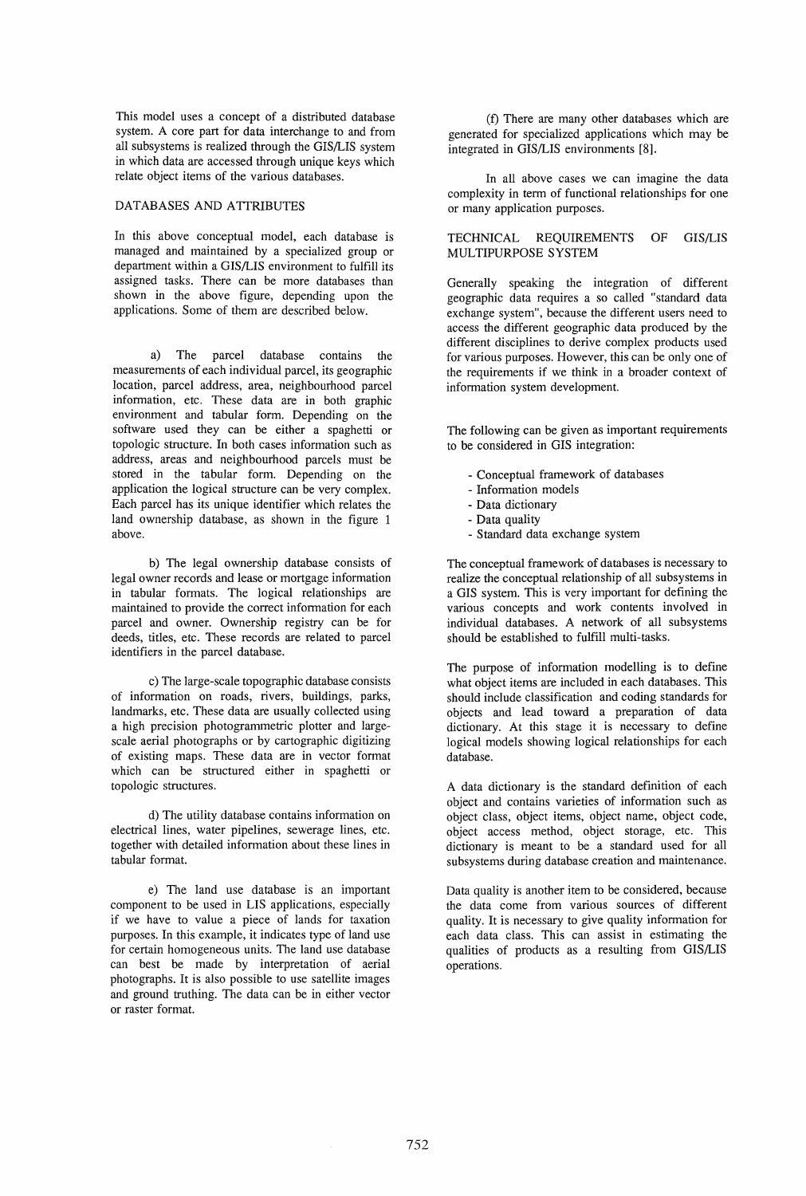This model uses a concept of a distributed database system. A core part for data interchange to and from all subsystems is realized through the GIS/LIS system in which data are accessed through unique keys which relate object items of the various databases.

### DATABASES AND ATIRIBUTES

In this above conceptual model, each database is managed and maintained by a specialized group or department within a GIS/LIS environment to fulfill its assigned tasks. There can be more databases than shown in the above figure, depending upon the applications. Some of them are described below.

a) The parcel database contains the measurements of each individual parcel, its geographic location, parcel address, area, neighbourhood parcel information, etc. These data are in both graphic environment and tabular form. Depending on the software used they can be either a spaghetti or topologic structure. In both cases information such as address, areas and neighbourhood parcels must be stored in the tabular form. Depending on the application the logical structure can be very complex. Each parcel has its unique identifier which relates the land ownership database, as shown in the figure 1 above.

b) The legal ownership database consists of legal owner records and lease or mortgage information in tabular formats. The logical relationships are maintained to provide the correct information for each parcel and owner. Ownership registry can be for deeds, titles, etc. These records are related to parcel identifiers in the parcel database.

c) The large-scale topographic database consists of information on roads, rivers, buildings, parks, landmarks, etc. These data are usually collected using a high precision photogrammetric plotter and largescale aerial photographs or by cartographic digitizing of existing maps. These data are in vector format which can be structured either in spaghetti or topologic structures.

d) The utility database contains information on electrical lines, water pipelines, sewerage lines, etc. together with detailed information about these lines in tabular format.

e) The land use database is an important component to be used in LIS applications, especially if we have to value a piece of lands for taxation purposes. In this example, it indicates type of land use for certain homogeneous units. The land use database can best be made by interpretation of aerial photographs. It is also possible to use satellite images and ground truthing. The data can be in either vector or raster format.

(f) There are many other databases which are generated for specialized applications which may be integrated in GIS/LIS environments [8].

In all above cases we can imagine the data complexity in term of functional relationships for one or many application purposes.

# TECHNICAL REQUIREMENTS OF GIS/LIS MULTIPURPOSE SYSTEM

Generally speaking the integration of different geographic data requires a so called "standard data exchange system", because the different users need to access the different geographic data produced by the different disciplines to derive complex products used for various purposes. However, this can be only one of the requirements if we think in a broader context of information system development.

The following can be given as important requirements to be considered in GIS integration:

- Conceptual framework of databases
- Information models
- Data dictionary
- Data quality
- Standard data exchange system

The conceptual framework of databases is necessary to realize the conceptual relationship of all subsystems in a GIS system. This is very important for defining the various concepts and work contents involved in individual databases. A network of all subsystems should be established to fulfill multi-tasks.

The purpose of information modelling is to define what object items are included in each databases. This should include classification and coding standards for objects and lead toward a preparation of data dictionary. At this stage it is necessary to define logical models showing logical relationships for each database.

A data dictionary is the standard definition of each object and contains varieties of information such as object class, object items, object name, object code, object access method, object storage, etc. This dictionary is meant to be a standard used for all subsystems during database creation and maintenance.

Data quality is another item to be considered, because the data come from various sources of different quality. It is necessary to give quality information for each data class. This can assist in estimating the qualities of products as a resulting from GIS/LIS operations.